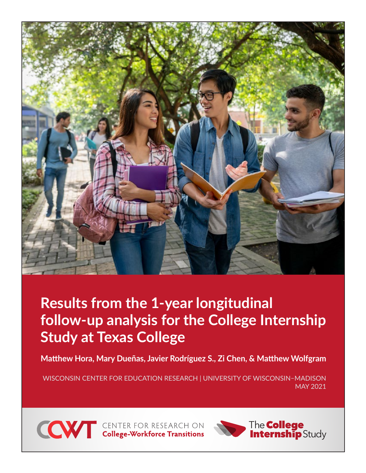

# **Results from the 1-year longitudinal follow-up analysis for the College Internship Study at Texas College**

**Matthew Hora, Mary Dueñas, Javier Rodríguez S., Zi Chen, & Matthew Wolfgram**

WISCONSIN CENTER FOR EDUCATION RESEARCH | UNIVERSITY OF WISCONSIN–MADISON MAY 2021



**CONTER FOR RESEARCH ON College-Workforce Transitions** 

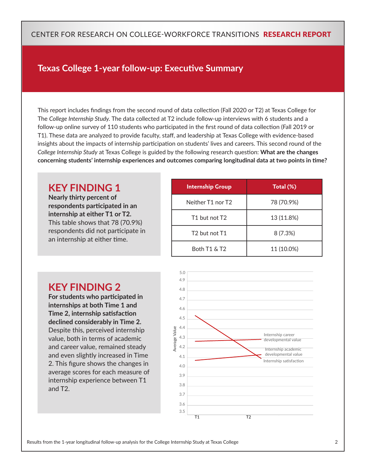# **Texas College 1-year follow-up: Executive Summary**

This report includes findings from the second round of data collection (Fall 2020 or T2) at Texas College for The *College Internship Study.* The data collected at T2 include follow-up interviews with 6 students and a follow-up online survey of 110 students who participated in the first round of data collection (Fall 2019 or T1). These data are analyzed to provide faculty, staff, and leadership at Texas College with evidence-based insights about the impacts of internship participation on students' lives and careers. This second round of the *College Internship Study* at Texas College is guided by the following research question: **What are the changes concerning students' internship experiences and outcomes comparing longitudinal data at two points in time?**

# **KEY FINDING 1**

**Nearly thirty percent of respondents participated in an internship at either T1 or T2.**  This table shows that 78 (70.9%) respondents did not participate in an internship at either time.

| <b>Internship Group</b>               | Total (%)  |
|---------------------------------------|------------|
| Neither T1 nor T2                     | 78 (70.9%) |
| T <sub>1</sub> but not T <sub>2</sub> | 13 (11.8%) |
| T <sub>2</sub> but not T <sub>1</sub> | 8(7.3%)    |
| <b>Both T1 &amp; T2</b>               | 11 (10.0%) |

# **KEY FINDING 2**

**For students who participated in internships at both Time 1 and Time 2, internship satisfaction declined considerably in Time 2.** Despite this, perceived internship value, both in terms of academic and career value, remained steady and even slightly increased in Time 2. This figure shows the changes in average scores for each measure of internship experience between T1 and T2.

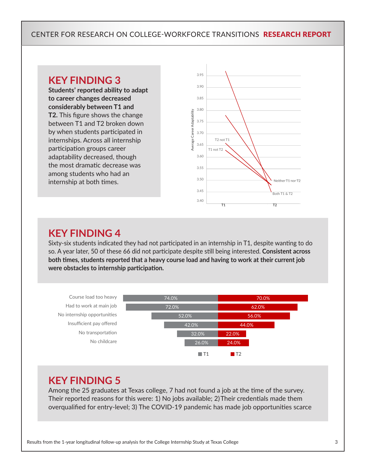

# **KEY FINDING 4**

Sixty-six students indicated they had not participated in an internship in T1, despite wanting to do so. A year later, 50 of these 66 did not participate despite still being interested. **Consistent across both times, students reported that a heavy course load and having to work at their current job were obstacles to internship participation.**



# **KEY FINDING 5**

Among the 25 graduates at Texas college, 7 had not found a job at the time of the survey. Their reported reasons for this were: 1) No jobs available; 2)Their credentials made them overqualified for entry-level; 3) The COVID-19 pandemic has made job opportunities scarce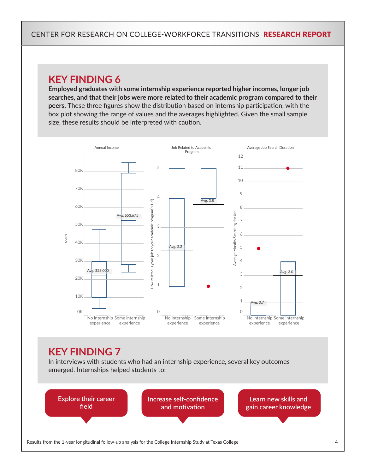# **KEY FINDING 6**

**Employed graduates with some internship experience reported higher incomes, longer job searches, and that their jobs were more related to their academic program compared to their peers.** These three figures show the distribution based on internship participation, with the box plot showing the range of values and the averages highlighted. Given the small sample size, these results should be interpreted with caution.



In interviews with students who had an internship experience, several key outcomes emerged. Internships helped students to:

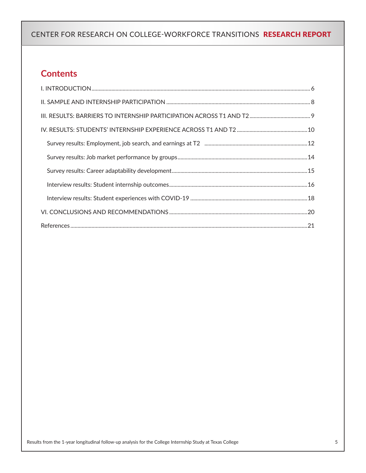# **Contents**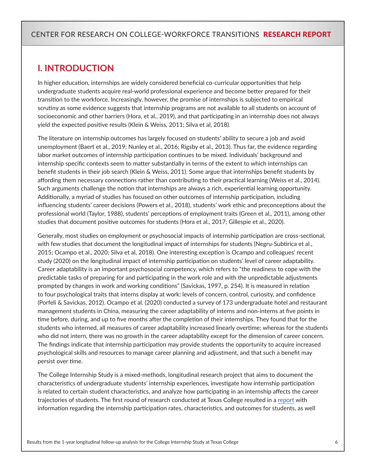# <span id="page-5-0"></span>**I. INTRODUCTION**

In higher education, internships are widely considered beneficial co-curricular opportunities that help undergraduate students acquire real-world professional experience and become better prepared for their transition to the workforce. Increasingly, however, the promise of internships is subjected to empirical scrutiny as some evidence suggests that internship programs are not available to all students on account of socioeconomic and other barriers (Hora, et al., 2019), and that participating in an internship does not always yield the expected positive results (Klein & Weiss, 2011; Silva et al, 2018).

The literature on internship outcomes has largely focused on students' ability to secure a job and avoid unemployment (Baert et al., 2019; Nunley et al., 2016; Rigsby et al., 2013). Thus far, the evidence regarding labor market outcomes of internship participation continues to be mixed. Individuals' background and internship specific contexts seem to matter substantially in terms of the extent to which internships can benefit students in their job search (Klein & Weiss, 2011). Some argue that internships benefit students by affording them necessary connections rather than contributing to their practical learning (Weiss et al., 2014). Such arguments challenge the notion that internships are always a rich, experiential learning opportunity. Additionally, a myriad of studies has focused on other outcomes of internship participation, including influencing students' career decisions (Powers et al., 2018), students' work ethic and preconceptions about the professional world (Taylor, 1988), students' perceptions of employment traits (Green et al., 2011), among other studies that document positive outcomes for students (Hora et al., 2017; Gillespie et al., 2020).

Generally, most studies on employment or psychosocial impacts of internship participation are cross-sectional, with few studies that document the longitudinal impact of internships for students (Negru-Subtirica et al., 2015; Ocampo et al., 2020; Silva et al, 2018). One interesting exception is Ocampo and colleagues' recent study (2020) on the longitudinal impact of internship participation on students' level of career adaptability. Career adaptability is an important psychosocial competency, which refers to "the readiness to cope with the predictable tasks of preparing for and participating in the work role and with the unpredictable adjustments prompted by changes in work and working conditions" (Savickas, 1997, p. 254). It is measured in relation to four psychological traits that interns display at work: levels of concern, control, curiosity, and confidence (Porfeli & Savickas, 2012). Ocampo et al. (2020) conducted a survey of 173 undergraduate hotel and restaurant management students in China, measuring the career adaptability of interns and non-interns at five points in time before, during, and up to five months after the completion of their internships. They found that for the students who interned, all measures of career adaptability increased linearly overtime; whereas for the students who did not intern, there was no growth in the career adaptability except for the dimension of career concern. The findings indicate that internship participation may provide students the opportunity to acquire increased psychological skills and resources to manage career planning and adjustment, and that such a benefit may persist over time.

The College Internship Study is a mixed-methods, longitudinal research project that aims to document the characteristics of undergraduate students' internship experiences, investigate how internship participation is related to certain student characteristics, and analyze how participating in an internship affects the career trajectories of students. The first round of research conducted at Texas College resulted in a [report](http://ccwt.wceruw.org/documents/CCWT_report_results%20from%20Texas%20University.pdf) with information regarding the internship participation rates, characteristics, and outcomes for students, as well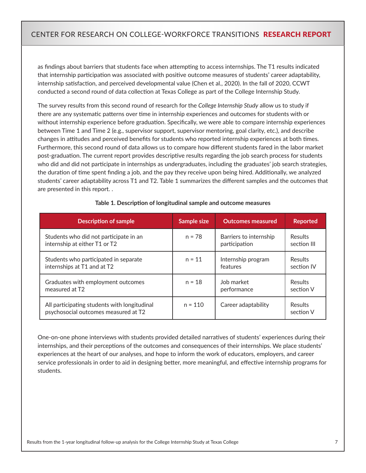as findings about barriers that students face when attempting to access internships. The T1 results indicated that internship participation was associated with positive outcome measures of students' career adaptability, internship satisfaction, and perceived developmental value (Chen et al., 2020). In the fall of 2020, CCWT conducted a second round of data collection at Texas College as part of the College Internship Study.

The survey results from this second round of research for the *College Internship Study* allow us to study if there are any systematic patterns over time in internship experiences and outcomes for students with or without internship experience before graduation. Specifically, we were able to compare internship experiences between Time 1 and Time 2 (e.g., supervisor support, supervisor mentoring, goal clarity, etc.), and describe changes in attitudes and perceived benefits for students who reported internship experiences at both times. Furthermore, this second round of data allows us to compare how different students fared in the labor market post-graduation. The current report provides descriptive results regarding the job search process for students who did and did not participate in internships as undergraduates, including the graduates' job search strategies, the duration of time spent finding a job, and the pay they receive upon being hired. Additionally, we analyzed students' career adaptability across T1 and T2. Table 1 summarizes the different samples and the outcomes that are presented in this report. .

| <b>Description of sample</b>                                                         | Sample size | <b>Outcomes measured</b> | <b>Reported</b>      |
|--------------------------------------------------------------------------------------|-------------|--------------------------|----------------------|
| Students who did not participate in an                                               | $n = 78$    | Barriers to internship   | <b>Results</b>       |
| internship at either T1 or T2                                                        |             | participation            | section III          |
| Students who participated in separate                                                | $n = 11$    | Internship program       | <b>Results</b>       |
| internships at T1 and at T2                                                          |             | features                 | section IV           |
| Graduates with employment outcomes                                                   | $n = 18$    | Job market               | <b>Results</b>       |
| measured at T2                                                                       |             | performance              | section V            |
| All participating students with longitudinal<br>psychosocial outcomes measured at T2 | $n = 110$   | Career adaptability      | Results<br>section V |

#### **Table 1. Description of longitudinal sample and outcome measures**

One-on-one phone interviews with students provided detailed narratives of students' experiences during their internships, and their perceptions of the outcomes and consequences of their internships. We place students' experiences at the heart of our analyses, and hope to inform the work of educators, employers, and career service professionals in order to aid in designing better, more meaningful, and effective internship programs for students.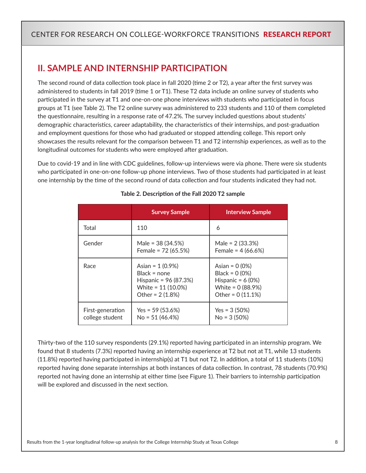# <span id="page-7-0"></span>**II. SAMPLE AND INTERNSHIP PARTICIPATION**

The second round of data collection took place in fall 2020 (time 2 or T2), a year after the first survey was administered to students in fall 2019 (time 1 or T1). These T2 data include an online survey of students who participated in the survey at T1 and one-on-one phone interviews with students who participated in focus groups at T1 (see Table 2). The T2 online survey was administered to 233 students and 110 of them completed the questionnaire, resulting in a response rate of 47.2%. The survey included questions about students' demographic characteristics, career adaptability, the characteristics of their internships, and post-graduation and employment questions for those who had graduated or stopped attending college. This report only showcases the results relevant for the comparison between T1 and T2 internship experiences, as well as to the longitudinal outcomes for students who were employed after graduation.

Due to covid-19 and in line with CDC guidelines, follow-up interviews were via phone. There were six students who participated in one-on-one follow-up phone interviews. Two of those students had participated in at least one internship by the time of the second round of data collection and four students indicated they had not.

|                                     | <b>Survey Sample</b>                                                                                     | <b>Interview Sample</b>                                                                                |
|-------------------------------------|----------------------------------------------------------------------------------------------------------|--------------------------------------------------------------------------------------------------------|
| Total                               | 110                                                                                                      | 6                                                                                                      |
| Gender                              | Male = $38(34.5%)$<br>Female = $72(65.5%)$                                                               | Male = $2(33.3%)$<br>Female = $4(66.6%)$                                                               |
| Race                                | Asian = $1(0.9\%)$<br>$Black = none$<br>Hispanic = 96 (87.3%)<br>White = 11 (10.0%)<br>Other = $2(1.8%)$ | Asian = $0(0%)$<br>$Black = 0 (0%)$<br>Hispanic = $6(0%)$<br>White = $0(88.9%)$<br>Other = $0(11.1\%)$ |
| First-generation<br>college student | Yes = 59 $(53.6%)$<br>$No = 51 (46.4%)$                                                                  | $Yes = 3 (50%)$<br>$No = 3 (50%)$                                                                      |

#### **Table 2. Description of the Fall 2020 T2 sample**

Thirty-two of the 110 survey respondents (29.1%) reported having participated in an internship program. We found that 8 students (7.3%) reported having an internship experience at T2 but not at T1, while 13 students (11.8%) reported having participated in internship(s) at T1 but not T2. In addition, a total of 11 students (10%) reported having done separate internships at both instances of data collection. In contrast, 78 students (70.9%) reported not having done an internship at either time (see Figure 1). Their barriers to internship participation will be explored and discussed in the next section.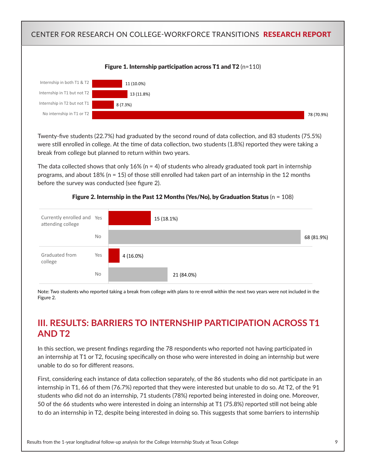<span id="page-8-0"></span>

Twenty-five students (22.7%) had graduated by the second round of data collection, and 83 students (75.5%) were still enrolled in college. At the time of data collection, two students (1.8%) reported they were taking a break from college but planned to return within two years.

The data collected shows that only  $16\%$  (n = 4) of students who already graduated took part in internship programs, and about 18% (n = 15) of those still enrolled had taken part of an internship in the 12 months before the survey was conducted (see figure 2).



#### Figure 2. Internship in the Past 12 Months (Yes/No), by Graduation Status ( $n = 108$ )

Note: Two students who reported taking a break from college with plans to re-enroll within the next two years were not included in the Figure 2.

# **III. RESULTS: BARRIERS TO INTERNSHIP PARTICIPATION ACROSS T1 AND T2**

In this section, we present findings regarding the 78 respondents who reported not having participated in an internship at T1 or T2, focusing specifically on those who were interested in doing an internship but were unable to do so for different reasons.

First, considering each instance of data collection separately, of the 86 students who did not participate in an internship in T1, 66 of them (76.7%) reported that they were interested but unable to do so. At T2, of the 91 students who did not do an internship, 71 students (78%) reported being interested in doing one. Moreover, 50 of the 66 students who were interested in doing an internship at T1 (75.8%) reported still not being able to do an internship in T2, despite being interested in doing so. This suggests that some barriers to internship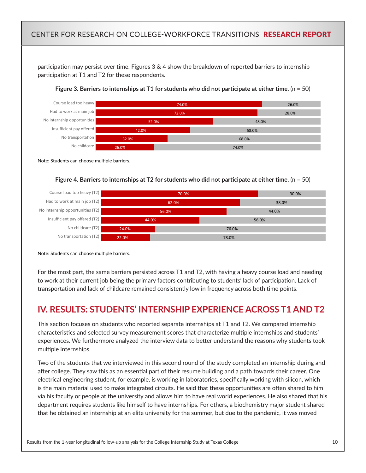<span id="page-9-0"></span>participation may persist over time. Figures 3 & 4 show the breakdown of reported barriers to internship participation at T1 and T2 for these respondents.



**Figure 3. Barriers to internships at T1 for students who did not participate at either time.** (n = 50)

Note: Students can choose multiple barriers.





Note: Students can choose multiple barriers.

For the most part, the same barriers persisted across T1 and T2, with having a heavy course load and needing to work at their current job being the primary factors contributing to students' lack of participation. Lack of transportation and lack of childcare remained consistently low in frequency across both time points.

# **IV. RESULTS: STUDENTS' INTERNSHIP EXPERIENCE ACROSS T1 AND T2**

This section focuses on students who reported separate internships at T1 and T2. We compared internship characteristics and selected survey measurement scores that characterize multiple internships and students' experiences. We furthermore analyzed the interview data to better understand the reasons why students took multiple internships.

Two of the students that we interviewed in this second round of the study completed an internship during and after college. They saw this as an essential part of their resume building and a path towards their career. One electrical engineering student, for example, is working in laboratories, specifically working with silicon, which is the main material used to make integrated circuits. He said that these opportunities are often shared to him via his faculty or people at the university and allows him to have real world experiences. He also shared that his department requires students like himself to have internships. For others, a biochemistry major student shared that he obtained an internship at an elite university for the summer, but due to the pandemic, it was moved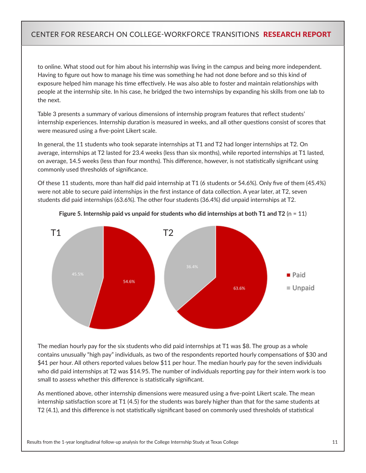to online. What stood out for him about his internship was living in the campus and being more independent. Having to figure out how to manage his time was something he had not done before and so this kind of exposure helped him manage his time effectively. He was also able to foster and maintain relationships with people at the internship site. In his case, he bridged the two internships by expanding his skills from one lab to the next.

Table 3 presents a summary of various dimensions of internship program features that reflect students' internship experiences. Internship duration is measured in weeks, and all other questions consist of scores that were measured using a five-point Likert scale.

In general, the 11 students who took separate internships at T1 and T2 had longer internships at T2. On average, internships at T2 lasted for 23.4 weeks (less than six months), while reported internships at T1 lasted, on average, 14.5 weeks (less than four months). This difference, however, is not statistically significant using commonly used thresholds of significance.

Of these 11 students, more than half did paid internship at T1 (6 students or 54.6%). Only five of them (45.4%) were not able to secure paid internships in the first instance of data collection. A year later, at T2, seven students did paid internships (63.6%). The other four students (36.4%) did unpaid internships at T2.



**Figure 5. Internship paid vs unpaid for students who did internships at both T1 and T2** (n = 11)

The median hourly pay for the six students who did paid internships at T1 was \$8. The group as a whole contains unusually "high pay" individuals, as two of the respondents reported hourly compensations of \$30 and \$41 per hour. All others reported values below \$11 per hour. The median hourly pay for the seven individuals who did paid internships at T2 was \$14.95. The number of individuals reporting pay for their intern work is too small to assess whether this difference is statistically significant.

As mentioned above, other internship dimensions were measured using a five-point Likert scale. The mean internship satisfaction score at T1 (4.5) for the students was barely higher than that for the same students at T2 (4.1), and this difference is not statistically significant based on commonly used thresholds of statistical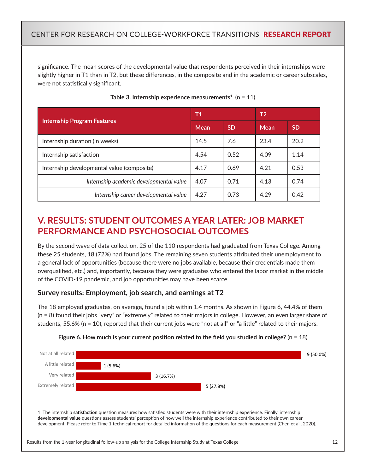<span id="page-11-0"></span>significance. The mean scores of the developmental value that respondents perceived in their internships were slightly higher in T1 than in T2, but these differences, in the composite and in the academic or career subscales, were not statistically significant.

|                                            | T <sub>1</sub> |           | T2,         |           |
|--------------------------------------------|----------------|-----------|-------------|-----------|
| <b>Internship Program Features</b>         | Mean           | <b>SD</b> | <b>Mean</b> | <b>SD</b> |
| Internship duration (in weeks)             | 14.5           | 7.6       | 23.4        | 20.2      |
| Internship satisfaction                    | 4.54           | 0.52      | 4.09        | 1.14      |
| Internship developmental value (composite) | 4.17           | 0.69      | 4.21        | 0.53      |
| Internship academic developmental value    | 4.07           | 0.71      | 4.13        | 0.74      |
| Internship career developmental value      | 4.27           | 0.73      | 4.29        | 0.42      |

**Table 3. Internship experience measurements<sup>1</sup>** (n = 11)

# **V. RESULTS: STUDENT OUTCOMES A YEAR LATER: JOB MARKET PERFORMANCE AND PSYCHOSOCIAL OUTCOMES**

By the second wave of data collection, 25 of the 110 respondents had graduated from Texas College. Among these 25 students, 18 (72%) had found jobs. The remaining seven students attributed their unemployment to a general lack of opportunities (because there were no jobs available, because their credentials made them overqualified, etc.) and, importantly, because they were graduates who entered the labor market in the middle of the COVID-19 pandemic, and job opportunities may have been scarce.

### **Survey results: Employment, job search, and earnings at T2**

The 18 employed graduates, on average, found a job within 1.4 months. As shown in Figure 6, 44.4% of them (n = 8) found their jobs "very" or "extremely" related to their majors in college. However, an even larger share of students, 55.6% (n = 10), reported that their current jobs were "not at all" or "a little" related to their majors.



#### **Figure 6. How much is your current position related to the field you studied in college?** (n = 18)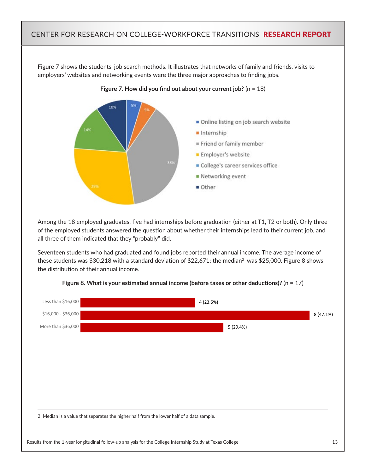Figure 7 shows the students' job search methods. It illustrates that networks of family and friends, visits to employers' websites and networking events were the three major approaches to finding jobs.



**Figure 7. How did you find out about your current job?** (n = 18)

Among the 18 employed graduates, five had internships before graduation (either at T1, T2 or both). Only three of the employed students answered the question about whether their internships lead to their current job, and all three of them indicated that they "probably" did.

Seventeen students who had graduated and found jobs reported their annual income. The average income of these students was \$30,218 with a standard deviation of \$22,671; the median<sup>2</sup> was \$25,000. Figure 8 shows the distribution of their annual income.



#### **Figure 8. What is your estimated annual income (before taxes or other deductions)?** (n = 17)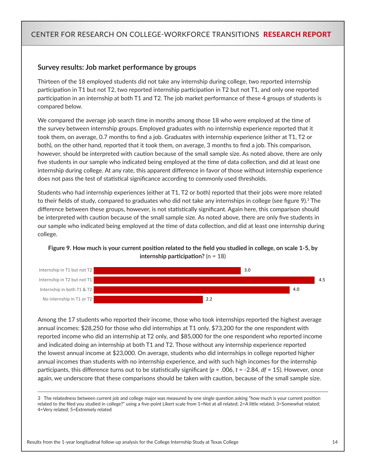#### <span id="page-13-0"></span>**Survey results: Job market performance by groups**

Thirteen of the 18 employed students did not take any internship during college, two reported internship participation in T1 but not T2, two reported internship participation in T2 but not T1, and only one reported participation in an internship at both T1 and T2. The job market performance of these 4 groups of students is compared below.

We compared the average job search time in months among those 18 who were employed at the time of the survey between internship groups. Employed graduates with no internship experience reported that it took them, on average, 0.7 months to find a job. Graduates with internship experience (either at T1, T2 or both), on the other hand, reported that it took them, on average, 3 months to find a job. This comparison, however, should be interpreted with caution because of the small sample size. As noted above, there are only five students in our sample who indicated being employed at the time of data collection, and did at least one internship during college. At any rate, this apparent difference in favor of those without internship experience does not pass the test of statistical significance according to commonly used thresholds.

Students who had internship experiences (either at T1, T2 or both) reported that their jobs were more related to their fields of study, compared to graduates who did not take any internships in college (see figure 9).<sup>3</sup> The difference between these groups, however, is not statistically significant. Again here, this comparison should be interpreted with caution because of the small sample size. As noted above, there are only five students in our sample who indicated being employed at the time of data collection, and did at least one internship during college.





Among the 17 students who reported their income, those who took internships reported the highest average annual incomes: \$28,250 for those who did internships at T1 only, \$73,200 for the one respondent with reported income who did an internship at T2 only, and \$85,000 for the one respondent who reported income and indicated doing an internship at both T1 and T2. Those without any internship experience reported the lowest annual income at \$23,000. On average, students who did internships in college reported higher annual incomes than students with no internship experience, and with such high incomes for the internship participants, this difference turns out to be statistically significant (*p* = .006, *t* = -2.84, *df* = 15). However, once again, we underscore that these comparisons should be taken with caution, because of the small sample size.

3 The relatedness between current job and college major was measured by one single question asking "how much is your current position related to the filed you studied in college?" using a five-point Likert scale from 1=Not at all related; 2=A little related; 3=Somewhat related; 4=Very related; 5=Extremely related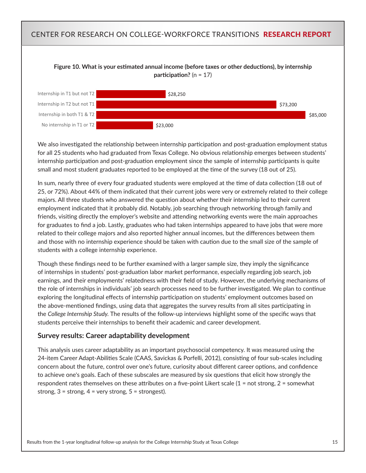<span id="page-14-0"></span>



We also investigated the relationship between internship participation and post-graduation employment status for all 25 students who had graduated from Texas College. No obvious relationship emerges between students' internship participation and post-graduation employment since the sample of internship participants is quite small and most student graduates reported to be employed at the time of the survey (18 out of 25).

In sum, nearly three of every four graduated students were employed at the time of data collection (18 out of 25, or 72%). About 44% of them indicated that their current jobs were very or extremely related to their college majors. All three students who answered the question about whether their internship led to their current employment indicated that it probably did. Notably, job searching through networking through family and friends, visiting directly the employer's website and attending networking events were the main approaches for graduates to find a job. Lastly, graduates who had taken internships appeared to have jobs that were more related to their college majors and also reported higher annual incomes, but the differences between them and those with no internship experience should be taken with caution due to the small size of the sample of students with a college internship experience.

Though these findings need to be further examined with a larger sample size, they imply the significance of internships in students' post-graduation labor market performance, especially regarding job search, job earnings, and their employments' relatedness with their field of study. However, the underlying mechanisms of the role of internships in individuals' job search processes need to be further investigated. We plan to continue exploring the longitudinal effects of internship participation on students' employment outcomes based on the above-mentioned findings, using data that aggregates the survey results from all sites participating in the *College Internship Study.* The results of the follow-up interviews highlight some of the specific ways that students perceive their internships to benefit their academic and career development.

#### **Survey results: Career adaptability development**

This analysis uses career adaptability as an important psychosocial competency. It was measured using the 24-item Career Adapt-Abilities Scale (CAAS, Savickas & Porfelli, 2012), consisting of four sub-scales including concern about the future, control over one's future, curiosity about different career options, and confidence to achieve one's goals. Each of these subscales are measured by six questions that elicit how strongly the respondent rates themselves on these attributes on a five-point Likert scale (1 = not strong, 2 = somewhat strong,  $3 =$  strong,  $4 =$  very strong,  $5 =$  strongest).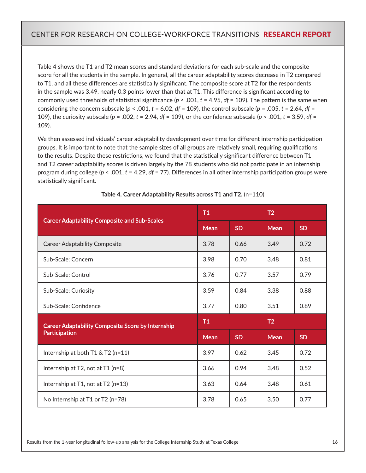<span id="page-15-0"></span>Table 4 shows the T1 and T2 mean scores and standard deviations for each sub-scale and the composite score for all the students in the sample. In general, all the career adaptability scores decrease in T2 compared to T1, and all these differences are statistically significant. The composite score at T2 for the respondents in the sample was 3.49, nearly 0.3 points lower than that at T1. This difference is significant according to commonly used thresholds of statistical significance (*p* < .001, *t* = 4.95, *df* = 109). The pattern is the same when considering the concern subscale ( $p < .001$ ,  $t = 6.02$ ,  $df = 109$ ), the control subscale ( $p = .005$ ,  $t = 2.64$ ,  $df =$ 109), the curiosity subscale (*p* = .002, *t* = 2.94, *df* = 109), or the confidence subscale (*p* < .001, *t* = 3.59, *df* = 109).

We then assessed individuals' career adaptability development over time for different internship participation groups. It is important to note that the sample sizes of all groups are relatively small, requiring qualifications to the results. Despite these restrictions, we found that the statistically significant difference between T1 and T2 career adaptability scores is driven largely by the 78 students who did not participate in an internship program during college (*p* < .001, *t* = 4.29, *df* = 77). Differences in all other internship participation groups were statistically significant.

|                                                          | T1             |           | T <sub>2</sub> |           |
|----------------------------------------------------------|----------------|-----------|----------------|-----------|
| <b>Career Adaptability Composite and Sub-Scales</b>      | <b>Mean</b>    | <b>SD</b> | <b>Mean</b>    | <b>SD</b> |
| <b>Career Adaptability Composite</b>                     | 3.78           | 0.66      | 3.49           | 0.72      |
| Sub-Scale: Concern                                       | 3.98           | 0.70      | 3.48           | 0.81      |
| Sub-Scale: Control                                       | 3.76           | 0.77      | 3.57           | 0.79      |
| Sub-Scale: Curiosity                                     | 3.59           | 0.84      | 3.38           | 0.88      |
| Sub-Scale: Confidence                                    | 3.77           | 0.80      | 3.51           | 0.89      |
| <b>Career Adaptability Composite Score by Internship</b> | T <sub>1</sub> |           | T <sub>2</sub> |           |
| <b>Participation</b>                                     | <b>Mean</b>    | <b>SD</b> | <b>Mean</b>    | <b>SD</b> |
| Internship at both $T1 \& T2$ (n=11)                     | 3.97           | 0.62      | 3.45           | 0.72      |
| Internship at T2, not at T1 (n=8)                        | 3.66           | 0.94      | 3.48           | 0.52      |
| Internship at T1, not at T2 (n=13)                       |                |           |                | 0.61      |
|                                                          | 3.63           | 0.64      | 3.48           |           |

#### **Table 4. Career Adaptability Results across T1 and T2.** (n=110)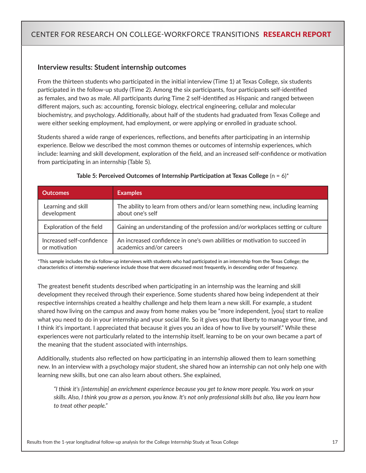#### **Interview results: Student internship outcomes**

From the thirteen students who participated in the initial interview (Time 1) at Texas College, six students participated in the follow-up study (Time 2). Among the six participants, four participants self-identified as females, and two as male. All participants during Time 2 self-identified as Hispanic and ranged between different majors, such as: accounting, forensic biology, electrical engineering, cellular and molecular biochemistry, and psychology. Additionally, about half of the students had graduated from Texas College and were either seeking employment, had employment, or were applying or enrolled in graduate school.

Students shared a wide range of experiences, reflections, and benefits after participating in an internship experience. Below we described the most common themes or outcomes of internship experiences, which include: learning and skill development, exploration of the field, and an increased self-confidence or motivation from participating in an internship (Table 5).

| <b>Outcomes</b>           | <b>Examples</b>                                                                 |
|---------------------------|---------------------------------------------------------------------------------|
| Learning and skill        | The ability to learn from others and/or learn something new, including learning |
| development               | about one's self                                                                |
| Exploration of the field  | Gaining an understanding of the profession and/or workplaces setting or culture |
| Increased self-confidence | An increased confidence in one's own abilities or motivation to succeed in      |
| or motivation             | academics and/or careers                                                        |

#### **Table 5: Perceived Outcomes of Internship Participation at Texas College** (n = 6)\*

\*This sample includes the six follow-up interviews with students who had participated in an internship from the Texas College; the characteristics of internship experience include those that were discussed most frequently, in descending order of frequency.

The greatest benefit students described when participating in an internship was the learning and skill development they received through their experience. Some students shared how being independent at their respective internships created a healthy challenge and help them learn a new skill. For example, a student shared how living on the campus and away from home makes you be "more independent, [you] start to realize what you need to do in your internship and your social life. So it gives you that liberty to manage your time, and I think it's important. I appreciated that because it gives you an idea of how to live by yourself." While these experiences were not particularly related to the internship itself, learning to be on your own became a part of the meaning that the student associated with internships.

Additionally, students also reflected on how participating in an internship allowed them to learn something new. In an interview with a psychology major student, she shared how an internship can not only help one with learning new skills, but one can also learn about others. She explained,

*"I think it's [internship] an enrichment experience because you get to know more people. You work on your skills. Also, I think you grow as a person, you know. It's not only professional skills but also, like you learn how to treat other people."*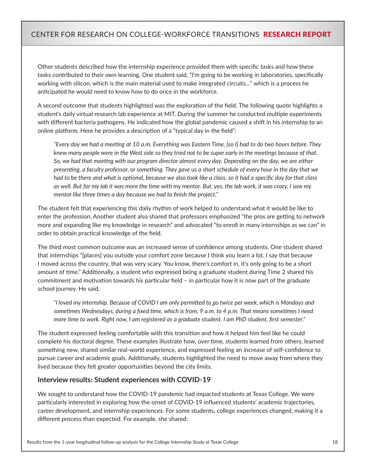<span id="page-17-0"></span>Other students described how the internship experience provided them with specific tasks and how these tasks contributed to their own learning. One student said, "I'm going to be working in laboratories, specifically working with silicon, which is the main material used to make integrated circuits…" which is a process he anticipated he would need to know how to do once in the workforce.

A second outcome that students highlighted was the exploration of the field. The following quote highlights a student's daily virtual research lab experience at MIT. During the summer he conducted multiple experiments with different bacteria pathogens. He indicated how the global pandemic caused a shift in his internship to an online platform. Here he provides a description of a "typical day in the field":

*"Every day we had a meeting at 10 a.m. Everything was Eastern Time, [so I] had to do two hours before. They knew many people were in the West side so they tried not to be super early in the meetings because of that. So, we had that meeting with our program director almost every day. Depending on the day, we are either presenting, a faculty professor, or something. They gave us a short schedule of every hour in the day that we had to be there and what is optional, because we also took like a class, so it had a specific day for that class as well. But for my lab it was more the time with my mentor. But, yes, the lab work, it was crazy. I saw my mentor like three times a day because we had to finish the project."*

The student felt that experiencing this daily rhythm of work helped to understand what it would be like to enter the profession. Another student also shared that professors emphasized "the pros are getting to network more and expanding like my knowledge in research" and advocated "to enroll in many internships as we can" in order to obtain practical knowledge of the field.

The third most common outcome was an increased sense of confidence among students. One student shared that internships "[places] you outside your comfort zone because I think you learn a lot. I say that because I moved across the country, that was very scary. You know, there's comfort in, it's only going to be a short amount of time." Additionally, a student who expressed being a graduate student during Time 2 shared his commitment and motivation towards his particular field – in particular how it is now part of the graduate school journey. He said,

*"I loved my internship. Because of COVID I am only permitted to go twice per week, which is Mondays and sometimes Wednesdays, during a fixed time, which is from, 9 a.m. to 4 p.m. That means sometimes I need more time to work. Right now, I am registered as a graduate student. I am PhD student, first semester."*

The student expressed feeling comfortable with this transition and how it helped him feel like he could complete his doctoral degree. These examples illustrate how, over time, students learned from others, learned something new, shared similar real-world experience, and expressed feeling an increase of self-confidence to pursue career and academic goals. Additionally, students highlighted the need to move away from where they lived because they felt greater opportunities beyond the city limits.

#### **Interview results: Student experiences with COVID-19**

We sought to understand how the COVID-19 pandemic had impacted students at Texas College. We were particularly interested in exploring how the onset of COVID-19 influenced students' academic trajectories, career development, and internship experiences. For some students, college experiences changed, making it a different process than expected. For example, she shared: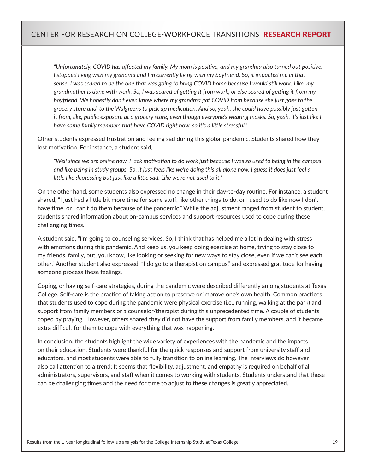*"Unfortunately, COVID has affected my family. My mom is positive, and my grandma also turned out positive. I* stopped living with my grandma and I'm currently living with my boyfriend. So, it impacted me in that *sense. I was scared to be the one that was going to bring COVID home because I would still work. Like, my grandmother is done with work. So, I was scared of getting it from work, or else scared of getting it from my boyfriend. We honestly don't even know where my grandma got COVID from because she just goes to the grocery store and, to the Walgreens to pick up medication. And so, yeah, she could have possibly just gotten it from, like, public exposure at a grocery store, even though everyone's wearing masks. So, yeah, it's just like I have some family members that have COVID right now, so it's a little stressful."* 

Other students expressed frustration and feeling sad during this global pandemic. Students shared how they lost motivation. For instance, a student said,

*"Well since we are online now, I lack motivation to do work just because I was so used to being in the campus and like being in study groups. So, it just feels like we're doing this all alone now. I guess it does just feel a little like depressing but just like a little sad. Like we're not used to it."*

On the other hand, some students also expressed no change in their day-to-day routine. For instance, a student shared, "I just had a little bit more time for some stuff, like other things to do, or I used to do like now I don't have time, or I can't do them because of the pandemic." While the adjustment ranged from student to student, students shared information about on-campus services and support resources used to cope during these challenging times.

A student said, "I'm going to counseling services. So, I think that has helped me a lot in dealing with stress with emotions during this pandemic. And keep us, you keep doing exercise at home, trying to stay close to my friends, family, but, you know, like looking or seeking for new ways to stay close, even if we can't see each other." Another student also expressed, "I do go to a therapist on campus," and expressed gratitude for having someone process these feelings."

Coping, or having self-care strategies, during the pandemic were described differently among students at Texas College. Self-care is the practice of taking action to preserve or improve one's own health. Common practices that students used to cope during the pandemic were physical exercise (i.e., running, walking at the park) and support from family members or a counselor/therapist during this unprecedented time. A couple of students coped by praying. However, others shared they did not have the support from family members, and it became extra difficult for them to cope with everything that was happening.

In conclusion, the students highlight the wide variety of experiences with the pandemic and the impacts on their education. Students were thankful for the quick responses and support from university staff and educators, and most students were able to fully transition to online learning. The interviews do however also call attention to a trend: It seems that flexibility, adjustment, and empathy is required on behalf of all administrators, supervisors, and staff when it comes to working with students. Students understand that these can be challenging times and the need for time to adjust to these changes is greatly appreciated.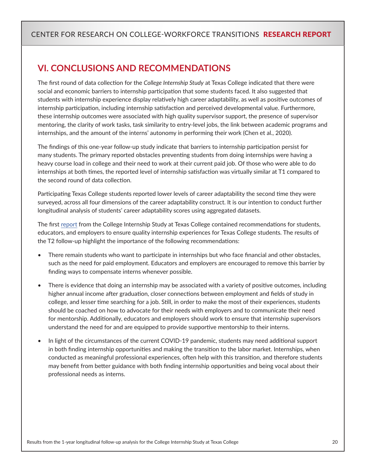# <span id="page-19-0"></span>**VI. CONCLUSIONS AND RECOMMENDATIONS**

The first round of data collection for the *College Internship Study* at Texas College indicated that there were social and economic barriers to internship participation that some students faced. It also suggested that students with internship experience display relatively high career adaptability, as well as positive outcomes of internship participation, including internship satisfaction and perceived developmental value. Furthermore, these internship outcomes were associated with high quality supervisor support, the presence of supervisor mentoring, the clarity of work tasks, task similarity to entry-level jobs, the link between academic programs and internships, and the amount of the interns' autonomy in performing their work (Chen et al., 2020).

The findings of this one-year follow-up study indicate that barriers to internship participation persist for many students. The primary reported obstacles preventing students from doing internships were having a heavy course load in college and their need to work at their current paid job. Of those who were able to do internships at both times, the reported level of internship satisfaction was virtually similar at T1 compared to the second round of data collection.

Participating Texas College students reported lower levels of career adaptability the second time they were surveyed, across all four dimensions of the career adaptability construct. It is our intention to conduct further longitudinal analysis of students' career adaptability scores using aggregated datasets.

The first [report](http://ccwt.wceruw.org/documents/CCWT_report_results%20from%20Texas%20University.pdf) from the College Internship Study at Texas College contained recommendations for students, educators, and employers to ensure quality internship experiences for Texas College students. The results of the T2 follow-up highlight the importance of the following recommendations:

- There remain students who want to participate in internships but who face financial and other obstacles, such as the need for paid employment. Educators and employers are encouraged to remove this barrier by finding ways to compensate interns whenever possible.
- There is evidence that doing an internship may be associated with a variety of positive outcomes, including higher annual income after graduation, closer connections between employment and fields of study in college, and lesser time searching for a job. Still, in order to make the most of their experiences, students should be coached on how to advocate for their needs with employers and to communicate their need for mentorship. Additionally, educators and employers should work to ensure that internship supervisors understand the need for and are equipped to provide supportive mentorship to their interns.
- In light of the circumstances of the current COVID-19 pandemic, students may need additional support in both finding internship opportunities and making the transition to the labor market. Internships, when conducted as meaningful professional experiences, often help with this transition, and therefore students may benefit from better guidance with both finding internship opportunities and being vocal about their professional needs as interns.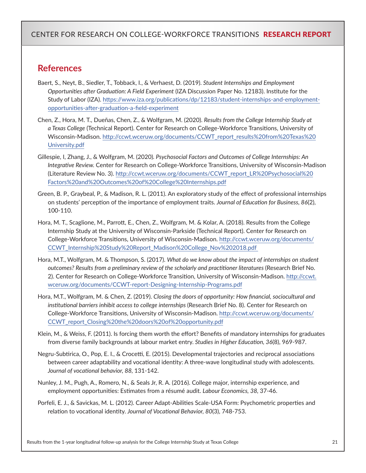### <span id="page-20-0"></span>**References**

- Baert, S., Neyt, B., Siedler, T., Tobback, I., & Verhaest, D. (2019). *Student Internships and Employment Opportunities after Graduation: A Field Experiment* (IZA Discussion Paper No. 12183). Institute for the Study of Labor (IZA). [https://www.iza.org/publications/dp/12183/student-internships-and-employment](https://www.iza.org/publications/dp/12183/student-internships-and-employment-opportunities-after-graduation-a-field-experiment)[opportunities-after-graduation-a-field-experiment](https://www.iza.org/publications/dp/12183/student-internships-and-employment-opportunities-after-graduation-a-field-experiment)
- Chen, Z., Hora, M. T., Dueñas, Chen, Z., & Wolfgram, M. (2020). *Results from the College Internship Study at a Texas College* (Technical Report). Center for Research on College-Workforce Transitions, University of Wisconsin-Madison. [http://ccwt.wceruw.org/documents/CCWT\\_report\\_results%20from%20Texas%20](http://ccwt.wceruw.org/documents/CCWT_report_results%20from%20Texas%20University.pdf) [University.pdf](http://ccwt.wceruw.org/documents/CCWT_report_results%20from%20Texas%20University.pdf)
- Gillespie, I, Zhang, J., & Wolfgram, M. (2020)*. Psychosocial Factors and Outcomes of College Internships: An Integrative Review.* Center for Research on College-Workforce Transitions, University of Wisconsin-Madison (Literature Review No. 3). [http://ccwt.wceruw.org/documents/CCWT\\_report\\_LR%20Psychosocial%20](http://ccwt.wceruw.org/documents/CCWT_report_LR%20Psychosocial%20Factors%20and%20Outcomes%20of%20College%20Internships.pdf) [Factors%20and%20Outcomes%20of%20College%20Internships.pdf](http://ccwt.wceruw.org/documents/CCWT_report_LR%20Psychosocial%20Factors%20and%20Outcomes%20of%20College%20Internships.pdf)
- Green, B. P., Graybeal, P., & Madison, R. L. (2011). An exploratory study of the effect of professional internships on students' perception of the importance of employment traits. *Journal of Education for Business, 86*(2), 100-110.
- Hora, M. T., Scaglione, M., Parrott, E., Chen, Z., Wolfgram, M. & Kolar, A. (2018). Results from the College Internship Study at the University of Wisconsin-Parkside (Technical Report). Center for Research on College-Workforce Transitions, University of Wisconsin-Madison. [http://ccwt.wceruw.org/documents/](http://ccwt.wceruw.org/documents/CCWT_Internship%20Study%20Report_Madison%20College_Nov%202018.pdf) [CCWT\\_Internship%20Study%20Report\\_Madison%20College\\_Nov%202018.pdf](http://ccwt.wceruw.org/documents/CCWT_Internship%20Study%20Report_Madison%20College_Nov%202018.pdf)
- Hora, M.T., Wolfgram, M. & Thompson, S. (2017). *What do we know about the impact of internships on student outcomes? Results from a preliminary review of the scholarly and practitioner literatures* (Research Brief No. 2). Center for Research on College-Workforce Transition, University of Wisconsin-Madison. [http://ccwt.](http://ccwt.wceruw.org/documents/CCWT-report-Designing-Internship-Programs.pdf) [wceruw.org/documents/CCWT-report-Designing-Internship-Programs.pdf](http://ccwt.wceruw.org/documents/CCWT-report-Designing-Internship-Programs.pdf)
- Hora, M.T., Wolfgram, M. & Chen, Z. (2019). *Closing the doors of opportunity: How financial, sociocultural and institutional barriers inhibit access to college internships (Research Brief No. 8). Center for Research on* College-Workforce Transitions, University of Wisconsin-Madison. [http://ccwt.wceruw.org/documents/](http://ccwt.wceruw.org/documents/CCWT_report_Closing%20the%20doors%20of%20opportunity.pdf) [CCWT\\_report\\_Closing%20the%20doors%20of%20opportunity.pdf](http://ccwt.wceruw.org/documents/CCWT_report_Closing%20the%20doors%20of%20opportunity.pdf)
- Klein, M., & Weiss, F. (2011). Is forcing them worth the effort? Benefits of mandatory internships for graduates from diverse family backgrounds at labour market entry. *Studies in Higher Education, 36*(8), 969-987.
- Negru-Subtirica, O., Pop, E. I., & Crocetti, E. (2015). Developmental trajectories and reciprocal associations between career adaptability and vocational identity: A three-wave longitudinal study with adolescents. *Journal of vocational behavior, 88,* 131-142.
- Nunley, J. M., Pugh, A., Romero, N., & Seals Jr, R. A. (2016). College major, internship experience, and employment opportunities: Estimates from a résumé audit. *Labour Economics, 38,* 37-46.
- Porfeli, E. J., & Savickas, M. L. (2012). Career Adapt-Abilities Scale-USA Form: Psychometric properties and relation to vocational identity. *Journal of Vocational Behavior, 80*(3), 748-753.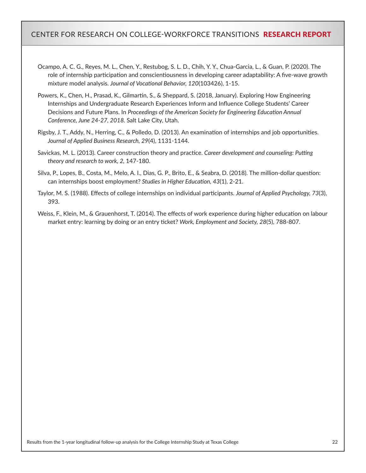- Ocampo, A. C. G., Reyes, M. L., Chen, Y., Restubog, S. L. D., Chih, Y. Y., Chua-Garcia, L., & Guan, P. (2020). The role of internship participation and conscientiousness in developing career adaptability: A five-wave growth mixture model analysis. *Journal of Vocational Behavior, 120*(103426), 1-15.
- Powers, K., Chen, H., Prasad, K., Gilmartin, S., & Sheppard, S. (2018, January). Exploring How Engineering Internships and Undergraduate Research Experiences Inform and Influence College Students' Career Decisions and Future Plans. In *Proceedings of the American Society for Engineering Education Annual Conference, June 24-27, 2018.* Salt Lake City, Utah.
- Rigsby, J. T., Addy, N., Herring, C., & Polledo, D. (2013). An examination of internships and job opportunities. *Journal of Applied Business Research, 29*(4), 1131-1144.
- Savickas, M. L. (2013). Career construction theory and practice. *Career development and counseling: Putting theory and research to work, 2,* 147-180.
- Silva, P., Lopes, B., Costa, M., Melo, A. I., Dias, G. P., Brito, E., & Seabra, D. (2018). The million-dollar question: can internships boost employment? *Studies in Higher Education, 43*(1), 2-21.
- Taylor, M. S. (1988). Effects of college internships on individual participants. *Journal of Applied Psychology, 73*(3), 393.
- Weiss, F., Klein, M., & Grauenhorst, T. (2014). The effects of work experience during higher education on labour market entry: learning by doing or an entry ticket? *Work, Employment and Society, 28*(5), 788-807.